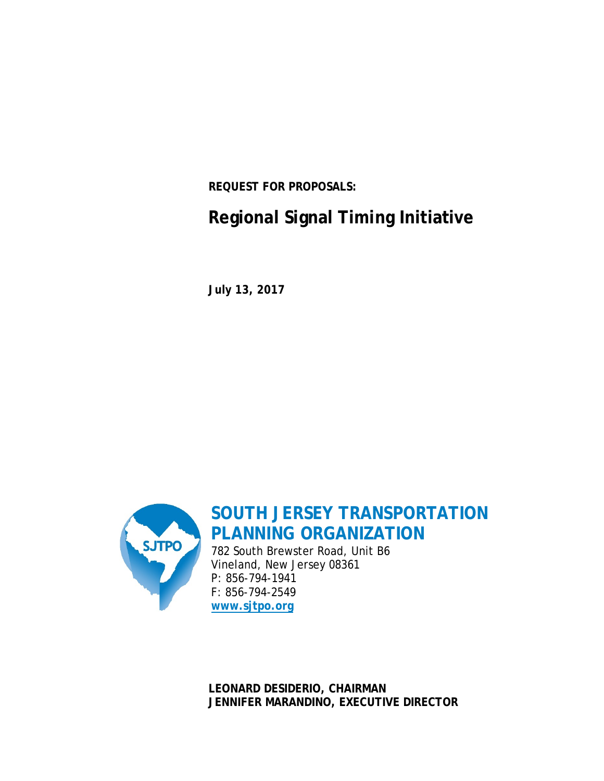**REQUEST FOR PROPOSALS:**

# **Regional Signal Timing Initiative**

**July 13, 2017**



**SOUTH JERSEY TRANSPORTATION PLANNING ORGANIZATION**

782 South Brewster Road, Unit B6 Vineland, New Jersey 08361 P: 856-794-1941 F: 856-794-2549 **[www.sjtpo.org](http://www.sjtpo.org/)**

**LEONARD DESIDERIO, CHAIRMAN JENNIFER MARANDINO, EXECUTIVE DIRECTOR**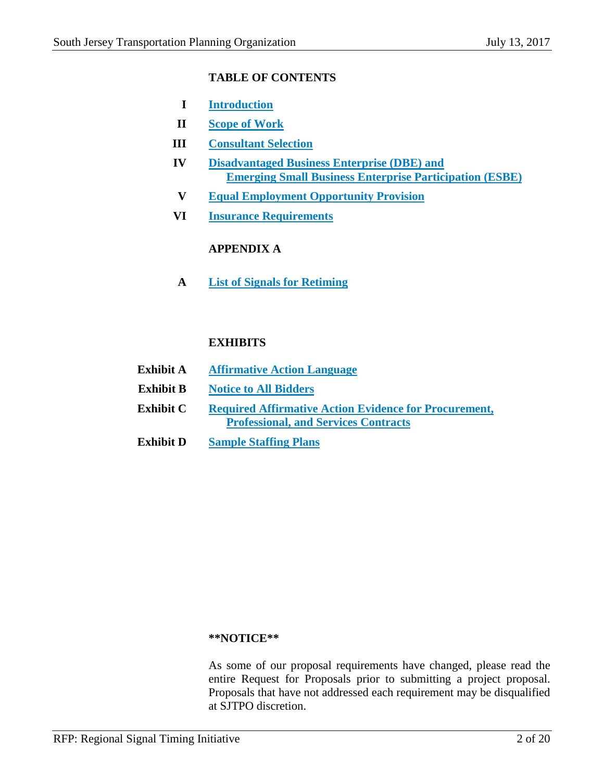# **TABLE OF CONTENTS**

- **I Introduction**
- **II Scope of Work**
- **III Consultant Selection**
- **IV Disadvantaged Business Enterprise (DBE) and Emerging Small Business Enterprise Participation (ESBE)**
- **V Equal Employment Opportunity Provision**
- **VI Insurance Requirements**

# **APPENDIX A**

**A List of Signals for Retiming**

# **EXHIBITS**

| Exhibit A        | <b>Affirmative Action Language</b>                           |
|------------------|--------------------------------------------------------------|
| <b>Exhibit B</b> | <b>Notice to All Bidders</b>                                 |
| <b>Exhibit C</b> | <b>Required Affirmative Action Evidence for Procurement,</b> |
|                  | <b>Professional, and Services Contracts</b>                  |
| <b>Exhibit D</b> | <b>Sample Staffing Plans</b>                                 |

# **\*\*NOTICE\*\***

As some of our proposal requirements have changed, please read the entire Request for Proposals prior to submitting a project proposal. Proposals that have not addressed each requirement may be disqualified at SJTPO discretion.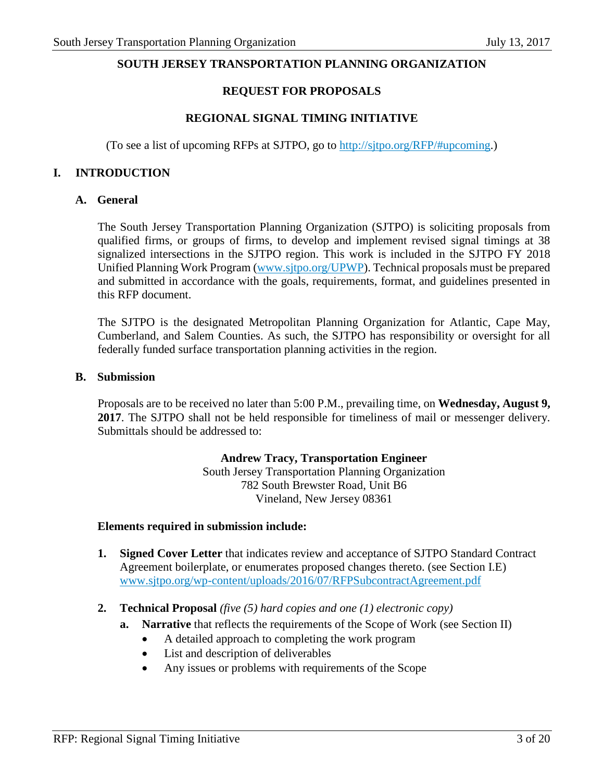#### **SOUTH JERSEY TRANSPORTATION PLANNING ORGANIZATION**

#### **REQUEST FOR PROPOSALS**

#### **REGIONAL SIGNAL TIMING INITIATIVE**

(To see a list of upcoming RFPs at SJTPO, go to [http://sjtpo.org/RFP/#upcoming.](http://sjtpo.org/rfp/#upcoming))

#### **I. INTRODUCTION**

#### **A. General**

The South Jersey Transportation Planning Organization (SJTPO) is soliciting proposals from qualified firms, or groups of firms, to develop and implement revised signal timings at 38 signalized intersections in the SJTPO region. This work is included in the SJTPO FY 2018 Unified Planning Work Program [\(www.sjtpo.org/UPWP\)](http://www.sjtpo.org/UPWP). Technical proposals must be prepared and submitted in accordance with the goals, requirements, format, and guidelines presented in this RFP document.

The SJTPO is the designated Metropolitan Planning Organization for Atlantic, Cape May, Cumberland, and Salem Counties. As such, the SJTPO has responsibility or oversight for all federally funded surface transportation planning activities in the region.

#### **B. Submission**

Proposals are to be received no later than 5:00 P.M., prevailing time, on **Wednesday, August 9, 2017**. The SJTPO shall not be held responsible for timeliness of mail or messenger delivery. Submittals should be addressed to:

#### **Andrew Tracy, Transportation Engineer**

South Jersey Transportation Planning Organization 782 South Brewster Road, Unit B6 Vineland, New Jersey 08361

#### **Elements required in submission include:**

- **1. Signed Cover Letter** that indicates review and acceptance of SJTPO Standard Contract Agreement boilerplate, or enumerates proposed changes thereto. (see Section I.E) [www.sjtpo.org/wp-content/uploads/2016/07/RFPSubcontractAgreement.pdf](http://www.sjtpo.org/wp-content/uploads/2016/07/RFPSubcontractAgreement.pdf)
- **2. Technical Proposal** *(five (5) hard copies and one (1) electronic copy)*
	- **a. Narrative** that reflects the requirements of the Scope of Work (see Section II)
		- A detailed approach to completing the work program
		- List and description of deliverables
		- Any issues or problems with requirements of the Scope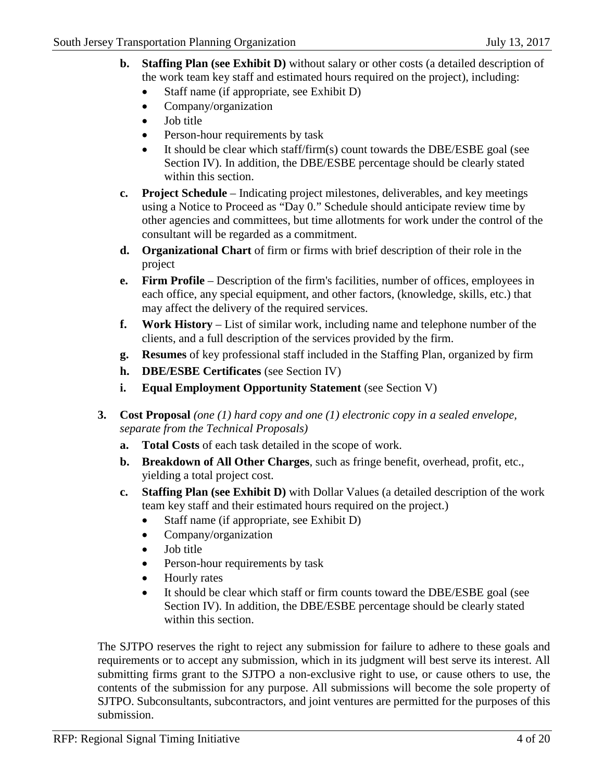- **b. Staffing Plan (see Exhibit D)** without salary or other costs (a detailed description of the work team key staff and estimated hours required on the project), including:
	- Staff name (if appropriate, see Exhibit D)
	- Company/organization
	- Job title
	- Person-hour requirements by task
	- It should be clear which staff/firm(s) count towards the DBE/ESBE goal (see Section IV). In addition, the DBE/ESBE percentage should be clearly stated within this section.
- **c. Project Schedule** Indicating project milestones, deliverables, and key meetings using a Notice to Proceed as "Day 0." Schedule should anticipate review time by other agencies and committees, but time allotments for work under the control of the consultant will be regarded as a commitment.
- **d. Organizational Chart** of firm or firms with brief description of their role in the project
- **e. Firm Profile** Description of the firm's facilities, number of offices, employees in each office, any special equipment, and other factors, (knowledge, skills, etc.) that may affect the delivery of the required services.
- **f. Work History** List of similar work, including name and telephone number of the clients, and a full description of the services provided by the firm.
- **g. Resumes** of key professional staff included in the Staffing Plan, organized by firm
- **h. DBE/ESBE Certificates** (see Section IV)
- **i. Equal Employment Opportunity Statement** (see Section V)
- **3. Cost Proposal** *(one (1) hard copy and one (1) electronic copy in a sealed envelope, separate from the Technical Proposals)*
	- **a. Total Costs** of each task detailed in the scope of work.
	- **b. Breakdown of All Other Charges**, such as fringe benefit, overhead, profit, etc., yielding a total project cost.
	- **c. Staffing Plan (see Exhibit D)** with Dollar Values (a detailed description of the work team key staff and their estimated hours required on the project.)
		- Staff name (if appropriate, see Exhibit D)
		- Company/organization
		- Job title
		- Person-hour requirements by task
		- Hourly rates
		- It should be clear which staff or firm counts toward the DBE/ESBE goal (see Section IV). In addition, the DBE/ESBE percentage should be clearly stated within this section.

The SJTPO reserves the right to reject any submission for failure to adhere to these goals and requirements or to accept any submission, which in its judgment will best serve its interest. All submitting firms grant to the SJTPO a non-exclusive right to use, or cause others to use, the contents of the submission for any purpose. All submissions will become the sole property of SJTPO. Subconsultants, subcontractors, and joint ventures are permitted for the purposes of this submission.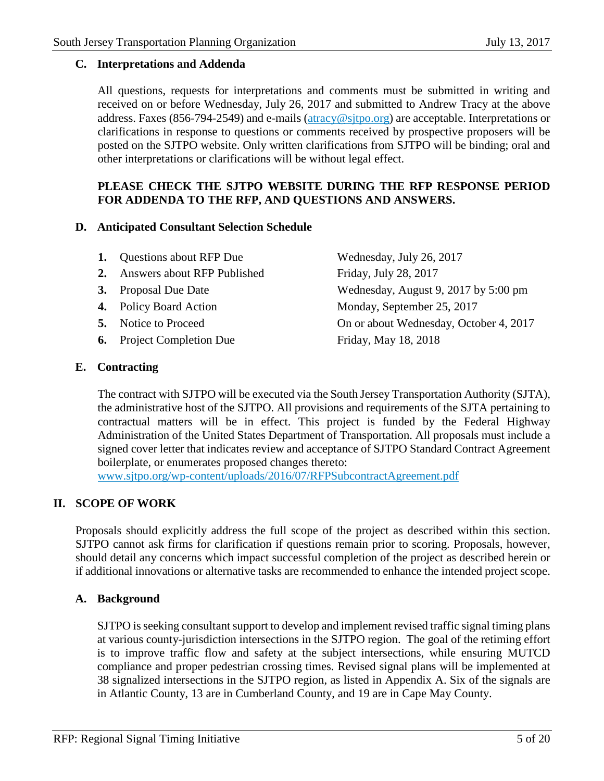#### **C. Interpretations and Addenda**

All questions, requests for interpretations and comments must be submitted in writing and received on or before Wednesday, July 26, 2017 and submitted to Andrew Tracy at the above address. Faxes (856-794-2549) and e-mails ( $\frac{\arccos(0.0000)}{\arccos(0.0000)}$  are acceptable. Interpretations or clarifications in response to questions or comments received by prospective proposers will be posted on the SJTPO website. Only written clarifications from SJTPO will be binding; oral and other interpretations or clarifications will be without legal effect.

# **PLEASE CHECK THE SJTPO WEBSITE DURING THE RFP RESPONSE PERIOD FOR ADDENDA TO THE RFP, AND QUESTIONS AND ANSWERS.**

#### **D. Anticipated Consultant Selection Schedule**

| <b>1.</b> Questions about RFP Due | Wednesday, July 26, 2017               |
|-----------------------------------|----------------------------------------|
| 2. Answers about RFP Published    | Friday, July 28, 2017                  |
| <b>3.</b> Proposal Due Date       | Wednesday, August 9, 2017 by 5:00 pm   |
| <b>4.</b> Policy Board Action     | Monday, September 25, 2017             |
| <b>5.</b> Notice to Proceed       | On or about Wednesday, October 4, 2017 |
| <b>6.</b> Project Completion Due  | Friday, May 18, 2018                   |
|                                   |                                        |

#### **E. Contracting**

The contract with SJTPO will be executed via the South Jersey Transportation Authority (SJTA), the administrative host of the SJTPO. All provisions and requirements of the SJTA pertaining to contractual matters will be in effect. This project is funded by the Federal Highway Administration of the United States Department of Transportation. All proposals must include a signed cover letter that indicates review and acceptance of SJTPO Standard Contract Agreement boilerplate, or enumerates proposed changes thereto:

[www.sjtpo.org/wp-content/uploads/2016/07/RFPSubcontractAgreement.pdf](http://www.sjtpo.org/wp-content/uploads/2016/07/RFPSubcontractAgreement.pdf)

# **II. SCOPE OF WORK**

Proposals should explicitly address the full scope of the project as described within this section. SJTPO cannot ask firms for clarification if questions remain prior to scoring. Proposals, however, should detail any concerns which impact successful completion of the project as described herein or if additional innovations or alternative tasks are recommended to enhance the intended project scope.

# **A. Background**

SJTPO is seeking consultant support to develop and implement revised traffic signal timing plans at various county-jurisdiction intersections in the SJTPO region. The goal of the retiming effort is to improve traffic flow and safety at the subject intersections, while ensuring MUTCD compliance and proper pedestrian crossing times. Revised signal plans will be implemented at 38 signalized intersections in the SJTPO region, as listed in Appendix A. Six of the signals are in Atlantic County, 13 are in Cumberland County, and 19 are in Cape May County.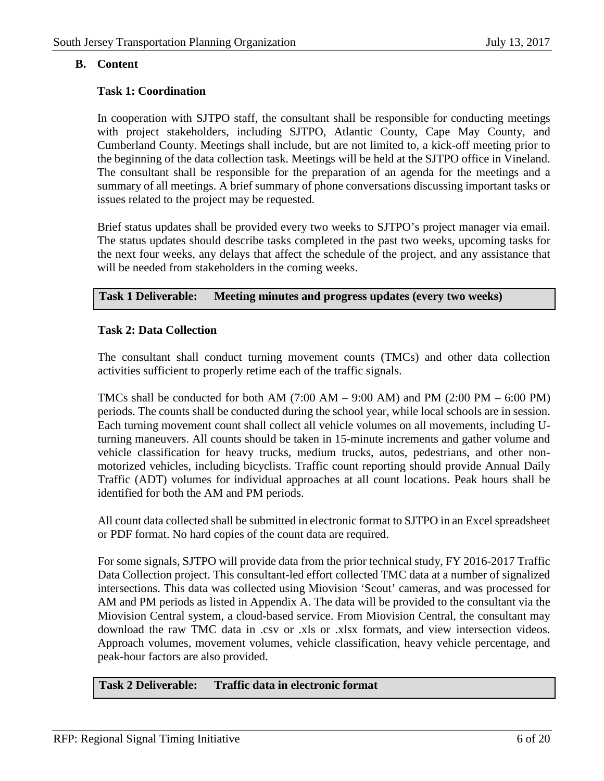# **B. Content**

# **Task 1: Coordination**

In cooperation with SJTPO staff, the consultant shall be responsible for conducting meetings with project stakeholders, including SJTPO, Atlantic County, Cape May County, and Cumberland County. Meetings shall include, but are not limited to, a kick-off meeting prior to the beginning of the data collection task. Meetings will be held at the SJTPO office in Vineland. The consultant shall be responsible for the preparation of an agenda for the meetings and a summary of all meetings. A brief summary of phone conversations discussing important tasks or issues related to the project may be requested.

Brief status updates shall be provided every two weeks to SJTPO's project manager via email. The status updates should describe tasks completed in the past two weeks, upcoming tasks for the next four weeks, any delays that affect the schedule of the project, and any assistance that will be needed from stakeholders in the coming weeks.

#### **Task 1 Deliverable: Meeting minutes and progress updates (every two weeks)**

#### **Task 2: Data Collection**

The consultant shall conduct turning movement counts (TMCs) and other data collection activities sufficient to properly retime each of the traffic signals.

TMCs shall be conducted for both AM  $(7:00 \text{ AM} - 9:00 \text{ AM})$  and PM  $(2:00 \text{ PM} - 6:00 \text{ PM})$ periods. The counts shall be conducted during the school year, while local schools are in session. Each turning movement count shall collect all vehicle volumes on all movements, including Uturning maneuvers. All counts should be taken in 15-minute increments and gather volume and vehicle classification for heavy trucks, medium trucks, autos, pedestrians, and other nonmotorized vehicles, including bicyclists. Traffic count reporting should provide Annual Daily Traffic (ADT) volumes for individual approaches at all count locations. Peak hours shall be identified for both the AM and PM periods.

All count data collected shall be submitted in electronic format to SJTPO in an Excel spreadsheet or PDF format. No hard copies of the count data are required.

For some signals, SJTPO will provide data from the prior technical study, FY 2016-2017 Traffic Data Collection project. This consultant-led effort collected TMC data at a number of signalized intersections. This data was collected using Miovision 'Scout' cameras, and was processed for AM and PM periods as listed in Appendix A. The data will be provided to the consultant via the Miovision Central system, a cloud-based service. From Miovision Central, the consultant may download the raw TMC data in .csv or .xls or .xlsx formats, and view intersection videos. Approach volumes, movement volumes, vehicle classification, heavy vehicle percentage, and peak-hour factors are also provided.

# **Task 2 Deliverable: Traffic data in electronic format**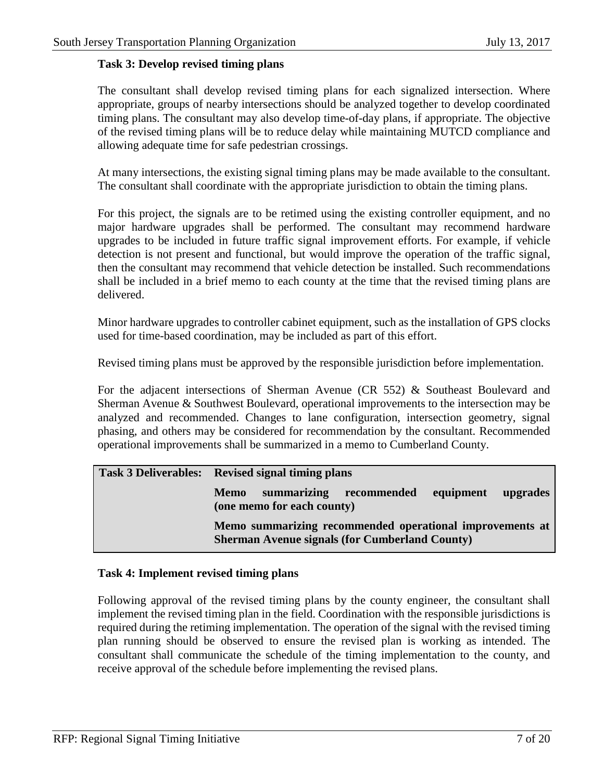#### **Task 3: Develop revised timing plans**

The consultant shall develop revised timing plans for each signalized intersection. Where appropriate, groups of nearby intersections should be analyzed together to develop coordinated timing plans. The consultant may also develop time-of-day plans, if appropriate. The objective of the revised timing plans will be to reduce delay while maintaining MUTCD compliance and allowing adequate time for safe pedestrian crossings.

At many intersections, the existing signal timing plans may be made available to the consultant. The consultant shall coordinate with the appropriate jurisdiction to obtain the timing plans.

For this project, the signals are to be retimed using the existing controller equipment, and no major hardware upgrades shall be performed. The consultant may recommend hardware upgrades to be included in future traffic signal improvement efforts. For example, if vehicle detection is not present and functional, but would improve the operation of the traffic signal, then the consultant may recommend that vehicle detection be installed. Such recommendations shall be included in a brief memo to each county at the time that the revised timing plans are delivered.

Minor hardware upgrades to controller cabinet equipment, such as the installation of GPS clocks used for time-based coordination, may be included as part of this effort.

Revised timing plans must be approved by the responsible jurisdiction before implementation.

For the adjacent intersections of Sherman Avenue (CR 552) & Southeast Boulevard and Sherman Avenue & Southwest Boulevard, operational improvements to the intersection may be analyzed and recommended. Changes to lane configuration, intersection geometry, signal phasing, and others may be considered for recommendation by the consultant. Recommended operational improvements shall be summarized in a memo to Cumberland County.

| Task 3 Deliverables: Revised signal timing plans                                                                  |  |  |  |  |  |  |  |
|-------------------------------------------------------------------------------------------------------------------|--|--|--|--|--|--|--|
| summarizing recommended<br>equipment<br><b>Memo</b><br>upgrades<br>(one memo for each county)                     |  |  |  |  |  |  |  |
| Memo summarizing recommended operational improvements at<br><b>Sherman Avenue signals (for Cumberland County)</b> |  |  |  |  |  |  |  |

#### **Task 4: Implement revised timing plans**

Following approval of the revised timing plans by the county engineer, the consultant shall implement the revised timing plan in the field. Coordination with the responsible jurisdictions is required during the retiming implementation. The operation of the signal with the revised timing plan running should be observed to ensure the revised plan is working as intended. The consultant shall communicate the schedule of the timing implementation to the county, and receive approval of the schedule before implementing the revised plans.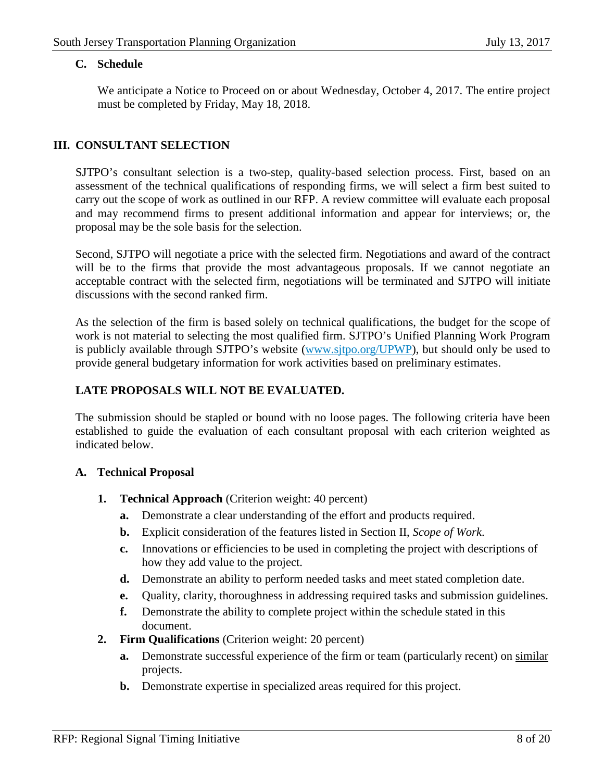#### **C. Schedule**

We anticipate a Notice to Proceed on or about Wednesday, October 4, 2017. The entire project must be completed by Friday, May 18, 2018.

# **III. CONSULTANT SELECTION**

SJTPO's consultant selection is a two-step, quality-based selection process. First, based on an assessment of the technical qualifications of responding firms, we will select a firm best suited to carry out the scope of work as outlined in our RFP. A review committee will evaluate each proposal and may recommend firms to present additional information and appear for interviews; or, the proposal may be the sole basis for the selection.

Second, SJTPO will negotiate a price with the selected firm. Negotiations and award of the contract will be to the firms that provide the most advantageous proposals. If we cannot negotiate an acceptable contract with the selected firm, negotiations will be terminated and SJTPO will initiate discussions with the second ranked firm.

As the selection of the firm is based solely on technical qualifications, the budget for the scope of work is not material to selecting the most qualified firm. SJTPO's Unified Planning Work Program is publicly available through SJTPO's website [\(www.sjtpo.org/UPWP\)](http://www.sjtpo.org/UPWP), but should only be used to provide general budgetary information for work activities based on preliminary estimates.

# **LATE PROPOSALS WILL NOT BE EVALUATED.**

The submission should be stapled or bound with no loose pages. The following criteria have been established to guide the evaluation of each consultant proposal with each criterion weighted as indicated below.

# **A. Technical Proposal**

- **1. Technical Approach** (Criterion weight: 40 percent)
	- **a.** Demonstrate a clear understanding of the effort and products required.
	- **b.** Explicit consideration of the features listed in Section II, *Scope of Work*.
	- **c.** Innovations or efficiencies to be used in completing the project with descriptions of how they add value to the project.
	- **d.** Demonstrate an ability to perform needed tasks and meet stated completion date.
	- **e.** Quality, clarity, thoroughness in addressing required tasks and submission guidelines.
	- **f.** Demonstrate the ability to complete project within the schedule stated in this document.
- **2. Firm Qualifications** (Criterion weight: 20 percent)
	- **a.** Demonstrate successful experience of the firm or team (particularly recent) on similar projects.
	- **b.** Demonstrate expertise in specialized areas required for this project.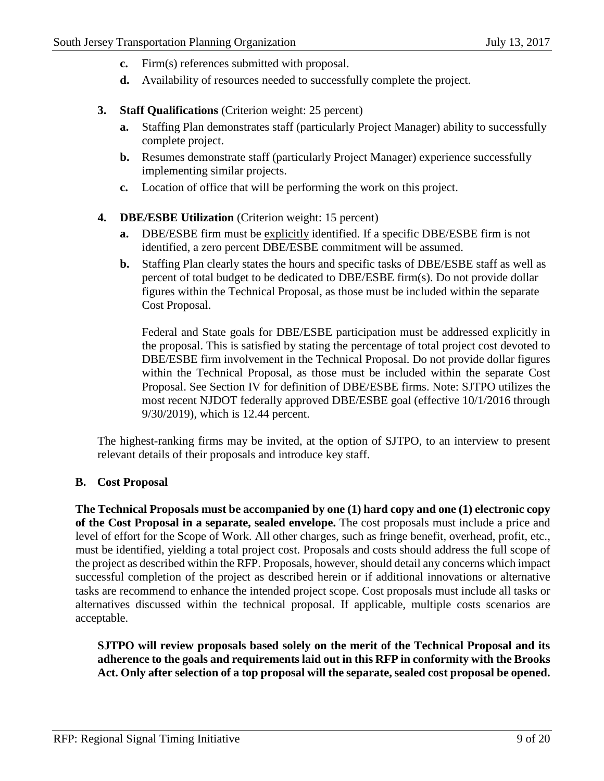- **c.** Firm(s) references submitted with proposal.
- **d.** Availability of resources needed to successfully complete the project.
- **3. Staff Qualifications** (Criterion weight: 25 percent)
	- **a.** Staffing Plan demonstrates staff (particularly Project Manager) ability to successfully complete project.
	- **b.** Resumes demonstrate staff (particularly Project Manager) experience successfully implementing similar projects.
	- **c.** Location of office that will be performing the work on this project.
- **4. DBE/ESBE Utilization** (Criterion weight: 15 percent)
	- **a.** DBE/ESBE firm must be explicitly identified. If a specific DBE/ESBE firm is not identified, a zero percent DBE/ESBE commitment will be assumed.
	- **b.** Staffing Plan clearly states the hours and specific tasks of DBE/ESBE staff as well as percent of total budget to be dedicated to DBE/ESBE firm(s). Do not provide dollar figures within the Technical Proposal, as those must be included within the separate Cost Proposal.

Federal and State goals for DBE/ESBE participation must be addressed explicitly in the proposal. This is satisfied by stating the percentage of total project cost devoted to DBE/ESBE firm involvement in the Technical Proposal. Do not provide dollar figures within the Technical Proposal, as those must be included within the separate Cost Proposal. See Section IV for definition of DBE/ESBE firms. Note: SJTPO utilizes the most recent NJDOT federally approved DBE/ESBE goal (effective 10/1/2016 through 9/30/2019), which is 12.44 percent.

The highest-ranking firms may be invited, at the option of SJTPO, to an interview to present relevant details of their proposals and introduce key staff.

# **B. Cost Proposal**

**The Technical Proposals must be accompanied by one (1) hard copy and one (1) electronic copy of the Cost Proposal in a separate, sealed envelope.** The cost proposals must include a price and level of effort for the Scope of Work. All other charges, such as fringe benefit, overhead, profit, etc., must be identified, yielding a total project cost. Proposals and costs should address the full scope of the project as described within the RFP. Proposals, however, should detail any concerns which impact successful completion of the project as described herein or if additional innovations or alternative tasks are recommend to enhance the intended project scope. Cost proposals must include all tasks or alternatives discussed within the technical proposal. If applicable, multiple costs scenarios are acceptable.

**SJTPO will review proposals based solely on the merit of the Technical Proposal and its adherence to the goals and requirements laid out in this RFP in conformity with the Brooks Act. Only after selection of a top proposal will the separate, sealed cost proposal be opened.**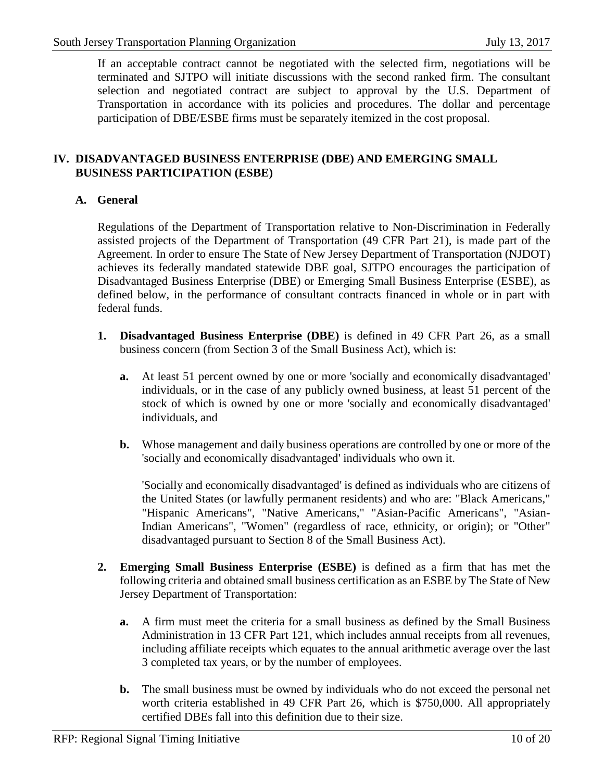If an acceptable contract cannot be negotiated with the selected firm, negotiations will be terminated and SJTPO will initiate discussions with the second ranked firm. The consultant selection and negotiated contract are subject to approval by the U.S. Department of Transportation in accordance with its policies and procedures. The dollar and percentage participation of DBE/ESBE firms must be separately itemized in the cost proposal.

# **IV. DISADVANTAGED BUSINESS ENTERPRISE (DBE) AND EMERGING SMALL BUSINESS PARTICIPATION (ESBE)**

# **A. General**

Regulations of the Department of Transportation relative to Non-Discrimination in Federally assisted projects of the Department of Transportation (49 CFR Part 21), is made part of the Agreement. In order to ensure The State of New Jersey Department of Transportation (NJDOT) achieves its federally mandated statewide DBE goal, SJTPO encourages the participation of Disadvantaged Business Enterprise (DBE) or Emerging Small Business Enterprise (ESBE), as defined below, in the performance of consultant contracts financed in whole or in part with federal funds.

- **1. Disadvantaged Business Enterprise (DBE)** is defined in 49 CFR Part 26, as a small business concern (from Section 3 of the Small Business Act), which is:
	- **a.** At least 51 percent owned by one or more 'socially and economically disadvantaged' individuals, or in the case of any publicly owned business, at least 51 percent of the stock of which is owned by one or more 'socially and economically disadvantaged' individuals, and
	- **b.** Whose management and daily business operations are controlled by one or more of the 'socially and economically disadvantaged' individuals who own it.

'Socially and economically disadvantaged' is defined as individuals who are citizens of the United States (or lawfully permanent residents) and who are: "Black Americans," "Hispanic Americans", "Native Americans," "Asian-Pacific Americans", "Asian-Indian Americans", "Women" (regardless of race, ethnicity, or origin); or "Other" disadvantaged pursuant to Section 8 of the Small Business Act).

- **2. Emerging Small Business Enterprise (ESBE)** is defined as a firm that has met the following criteria and obtained small business certification as an ESBE by The State of New Jersey Department of Transportation:
	- **a.** A firm must meet the criteria for a small business as defined by the Small Business Administration in 13 CFR Part 121, which includes annual receipts from all revenues, including affiliate receipts which equates to the annual arithmetic average over the last 3 completed tax years, or by the number of employees.
	- **b.** The small business must be owned by individuals who do not exceed the personal net worth criteria established in 49 CFR Part 26, which is \$750,000. All appropriately certified DBEs fall into this definition due to their size.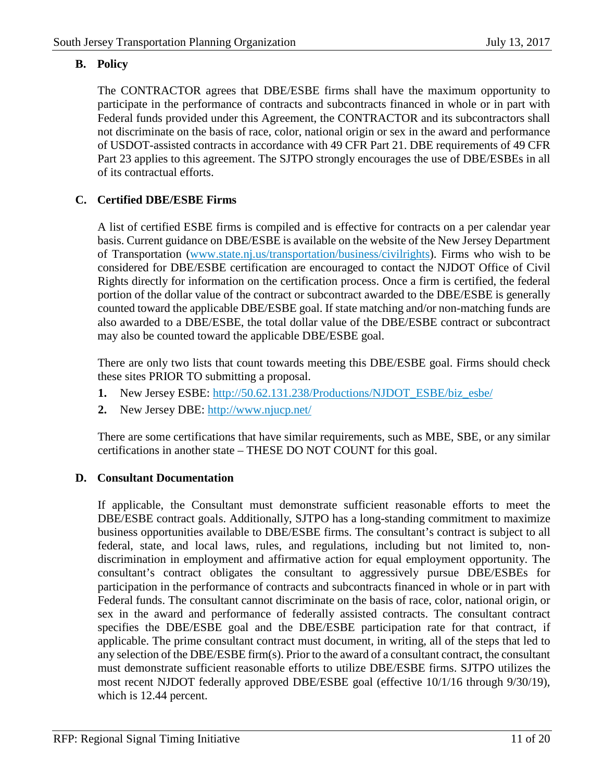# **B. Policy**

The CONTRACTOR agrees that DBE/ESBE firms shall have the maximum opportunity to participate in the performance of contracts and subcontracts financed in whole or in part with Federal funds provided under this Agreement, the CONTRACTOR and its subcontractors shall not discriminate on the basis of race, color, national origin or sex in the award and performance of USDOT-assisted contracts in accordance with 49 CFR Part 21. DBE requirements of 49 CFR Part 23 applies to this agreement. The SJTPO strongly encourages the use of DBE/ESBEs in all of its contractual efforts.

# **C. Certified DBE/ESBE Firms**

A list of certified ESBE firms is compiled and is effective for contracts on a per calendar year basis. Current guidance on DBE/ESBE is available on the website of the New Jersey Department of Transportation [\(www.state.nj.us/transportation/business/civilrights\)](http://www.state.nj.us/transportation/business/civilrights). Firms who wish to be considered for DBE/ESBE certification are encouraged to contact the NJDOT Office of Civil Rights directly for information on the certification process. Once a firm is certified, the federal portion of the dollar value of the contract or subcontract awarded to the DBE/ESBE is generally counted toward the applicable DBE/ESBE goal. If state matching and/or non-matching funds are also awarded to a DBE/ESBE, the total dollar value of the DBE/ESBE contract or subcontract may also be counted toward the applicable DBE/ESBE goal.

There are only two lists that count towards meeting this DBE/ESBE goal. Firms should check these sites PRIOR TO submitting a proposal.

- **1.** New Jersey ESBE: [http://50.62.131.238/Productions/NJDOT\\_ESBE/biz\\_esbe/](http://50.62.131.238/Productions/NJDOT_ESBE/biz_esbe/)
- **2.** New Jersey DBE:<http://www.njucp.net/>

There are some certifications that have similar requirements, such as MBE, SBE, or any similar certifications in another state – THESE DO NOT COUNT for this goal.

# **D. Consultant Documentation**

If applicable, the Consultant must demonstrate sufficient reasonable efforts to meet the DBE/ESBE contract goals. Additionally, SJTPO has a long-standing commitment to maximize business opportunities available to DBE/ESBE firms. The consultant's contract is subject to all federal, state, and local laws, rules, and regulations, including but not limited to, nondiscrimination in employment and affirmative action for equal employment opportunity. The consultant's contract obligates the consultant to aggressively pursue DBE/ESBEs for participation in the performance of contracts and subcontracts financed in whole or in part with Federal funds. The consultant cannot discriminate on the basis of race, color, national origin, or sex in the award and performance of federally assisted contracts. The consultant contract specifies the DBE/ESBE goal and the DBE/ESBE participation rate for that contract, if applicable. The prime consultant contract must document, in writing, all of the steps that led to any selection of the DBE/ESBE firm(s). Prior to the award of a consultant contract, the consultant must demonstrate sufficient reasonable efforts to utilize DBE/ESBE firms. SJTPO utilizes the most recent NJDOT federally approved DBE/ESBE goal (effective 10/1/16 through 9/30/19), which is 12.44 percent.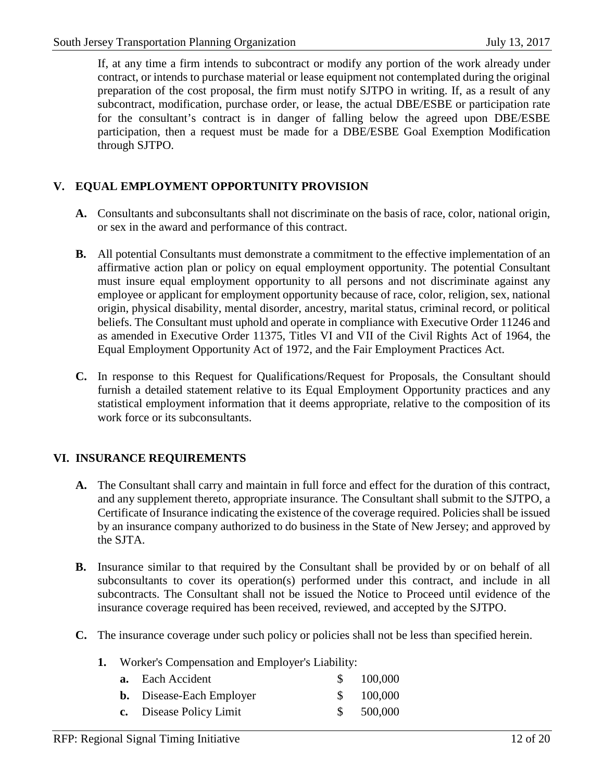If, at any time a firm intends to subcontract or modify any portion of the work already under contract, or intends to purchase material or lease equipment not contemplated during the original preparation of the cost proposal, the firm must notify SJTPO in writing. If, as a result of any subcontract, modification, purchase order, or lease, the actual DBE/ESBE or participation rate for the consultant's contract is in danger of falling below the agreed upon DBE/ESBE participation, then a request must be made for a DBE/ESBE Goal Exemption Modification through SJTPO.

# **V. EQUAL EMPLOYMENT OPPORTUNITY PROVISION**

- **A.** Consultants and subconsultants shall not discriminate on the basis of race, color, national origin, or sex in the award and performance of this contract.
- **B.** All potential Consultants must demonstrate a commitment to the effective implementation of an affirmative action plan or policy on equal employment opportunity. The potential Consultant must insure equal employment opportunity to all persons and not discriminate against any employee or applicant for employment opportunity because of race, color, religion, sex, national origin, physical disability, mental disorder, ancestry, marital status, criminal record, or political beliefs. The Consultant must uphold and operate in compliance with Executive Order 11246 and as amended in Executive Order 11375, Titles VI and VII of the Civil Rights Act of 1964, the Equal Employment Opportunity Act of 1972, and the Fair Employment Practices Act.
- **C.** In response to this Request for Qualifications/Request for Proposals, the Consultant should furnish a detailed statement relative to its Equal Employment Opportunity practices and any statistical employment information that it deems appropriate, relative to the composition of its work force or its subconsultants.

# **VI. INSURANCE REQUIREMENTS**

- **A.** The Consultant shall carry and maintain in full force and effect for the duration of this contract, and any supplement thereto, appropriate insurance. The Consultant shall submit to the SJTPO, a Certificate of Insurance indicating the existence of the coverage required. Policies shall be issued by an insurance company authorized to do business in the State of New Jersey; and approved by the SJTA.
- **B.** Insurance similar to that required by the Consultant shall be provided by or on behalf of all subconsultants to cover its operation(s) performed under this contract, and include in all subcontracts. The Consultant shall not be issued the Notice to Proceed until evidence of the insurance coverage required has been received, reviewed, and accepted by the SJTPO.
- **C.** The insurance coverage under such policy or policies shall not be less than specified herein.
	- **1.** Worker's Compensation and Employer's Liability:

| <b>a.</b> Each Accident         | \$100,000 |
|---------------------------------|-----------|
| <b>b.</b> Disease-Each Employer | \$100,000 |
| c. Disease Policy Limit         | \$500,000 |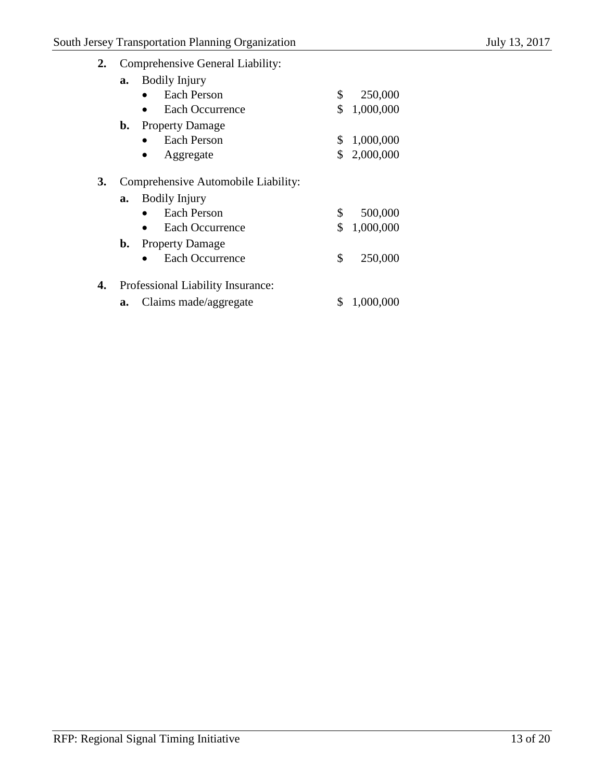**2.** Comprehensive General Liability:

| a. | <b>Bodily Injury</b>                          |             |
|----|-----------------------------------------------|-------------|
|    | Each Person                                   | 250,000     |
|    | Each Occurrence<br>$\bullet$                  | \$1,000,000 |
| b. | <b>Property Damage</b>                        |             |
|    | <b>Each Person</b>                            | \$1,000,000 |
|    | Aggregate                                     | \$2,000,000 |
|    |                                               |             |
|    | $\alpha$ 1 $\alpha$ 1 1 1 $\alpha$ 1 $\alpha$ |             |

# **3.** Comprehensive Automobile Liability:

| <b>a.</b> Bodily Injury   |             |
|---------------------------|-------------|
| $\bullet$ Each Person     | \$500,000   |
| $\bullet$ Each Occurrence | \$1,000,000 |
| <b>b.</b> Property Damage |             |

- Each Occurrence \$ 250,000
- **4.** Professional Liability Insurance:
	- **a.** Claims made/aggregate \$ 1,000,000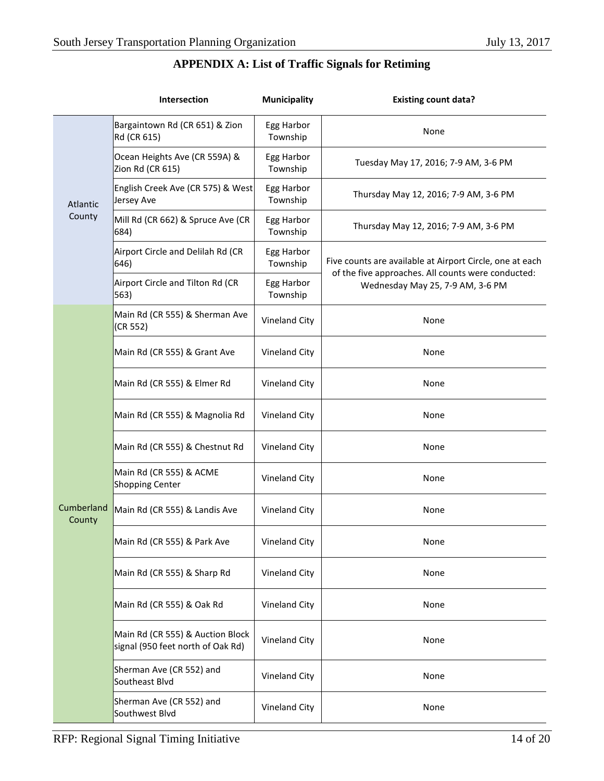| <b>APPENDIX A: List of Traffic Signals for Retiming</b> |  |  |  |  |  |  |  |
|---------------------------------------------------------|--|--|--|--|--|--|--|
|---------------------------------------------------------|--|--|--|--|--|--|--|

|                      | Intersection                                                          | <b>Municipality</b>    | <b>Existing count data?</b>                                                            |
|----------------------|-----------------------------------------------------------------------|------------------------|----------------------------------------------------------------------------------------|
|                      | Bargaintown Rd (CR 651) & Zion<br>Rd (CR 615)                         | Egg Harbor<br>Township | None                                                                                   |
|                      | Ocean Heights Ave (CR 559A) &<br>Zion Rd (CR 615)                     | Egg Harbor<br>Township | Tuesday May 17, 2016; 7-9 AM, 3-6 PM                                                   |
| Atlantic             | English Creek Ave (CR 575) & West<br>Jersey Ave                       | Egg Harbor<br>Township | Thursday May 12, 2016; 7-9 AM, 3-6 PM                                                  |
| County               | Mill Rd (CR 662) & Spruce Ave (CR<br>684)                             | Egg Harbor<br>Township | Thursday May 12, 2016; 7-9 AM, 3-6 PM                                                  |
|                      | Airport Circle and Delilah Rd (CR<br>$ 646\rangle$                    | Egg Harbor<br>Township | Five counts are available at Airport Circle, one at each                               |
|                      | Airport Circle and Tilton Rd (CR<br>563)                              | Egg Harbor<br>Township | of the five approaches. All counts were conducted:<br>Wednesday May 25, 7-9 AM, 3-6 PM |
|                      | Main Rd (CR 555) & Sherman Ave<br>(CR 552)                            | Vineland City          | None                                                                                   |
|                      | Main Rd (CR 555) & Grant Ave                                          | Vineland City          | None                                                                                   |
|                      | Main Rd (CR 555) & Elmer Rd                                           | Vineland City          | None                                                                                   |
|                      | Main Rd (CR 555) & Magnolia Rd                                        | Vineland City          | None                                                                                   |
|                      | Main Rd (CR 555) & Chestnut Rd                                        | Vineland City          | None                                                                                   |
|                      | Main Rd (CR 555) & ACME<br>Shopping Center                            | Vineland City          | None                                                                                   |
| Cumberland<br>County | Main Rd (CR 555) & Landis Ave                                         | Vineland City          | None                                                                                   |
|                      | Main Rd (CR 555) & Park Ave                                           | Vineland City          | None                                                                                   |
|                      | Main Rd (CR 555) & Sharp Rd                                           | Vineland City          | None                                                                                   |
|                      | Main Rd (CR 555) & Oak Rd                                             | Vineland City          | None                                                                                   |
|                      | Main Rd (CR 555) & Auction Block<br>signal (950 feet north of Oak Rd) | Vineland City          | None                                                                                   |
|                      | Sherman Ave (CR 552) and<br>Southeast Blvd                            | Vineland City          | None                                                                                   |
|                      | Sherman Ave (CR 552) and<br>Southwest Blvd                            | Vineland City          | None                                                                                   |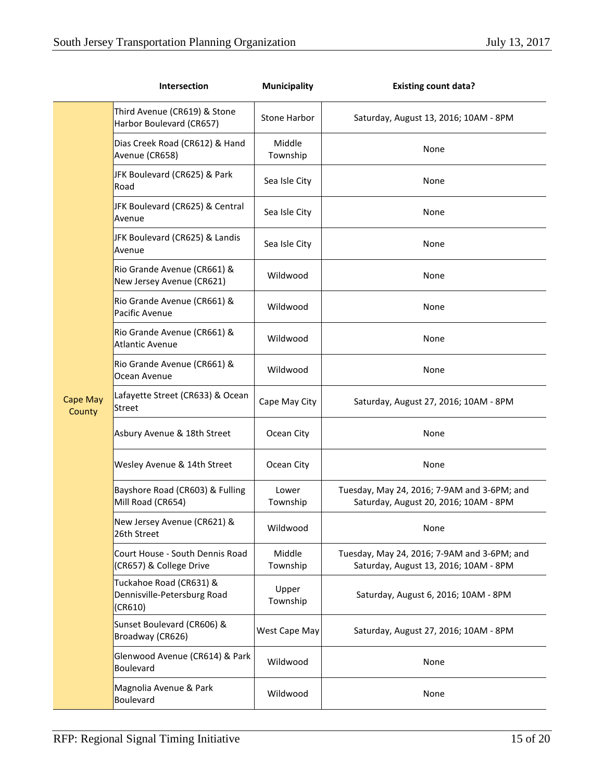|                           | Intersection                                                      | Municipality       | <b>Existing count data?</b>                                                          |
|---------------------------|-------------------------------------------------------------------|--------------------|--------------------------------------------------------------------------------------|
|                           | Third Avenue (CR619) & Stone<br>Harbor Boulevard (CR657)          | Stone Harbor       | Saturday, August 13, 2016; 10AM - 8PM                                                |
|                           | Dias Creek Road (CR612) & Hand<br>Avenue (CR658)                  | Middle<br>Township | None                                                                                 |
|                           | JFK Boulevard (CR625) & Park<br>Road                              | Sea Isle City      | None                                                                                 |
|                           | JFK Boulevard (CR625) & Central<br>Avenue                         | Sea Isle City      | None                                                                                 |
|                           | JFK Boulevard (CR625) & Landis<br>Avenue                          | Sea Isle City      | None                                                                                 |
|                           | Rio Grande Avenue (CR661) &<br>New Jersey Avenue (CR621)          | Wildwood           | None                                                                                 |
| <b>Cape May</b><br>County | Rio Grande Avenue (CR661) &<br>Pacific Avenue                     | Wildwood           | None                                                                                 |
|                           | Rio Grande Avenue (CR661) &<br><b>Atlantic Avenue</b>             | Wildwood           | None                                                                                 |
|                           | Rio Grande Avenue (CR661) &<br>Ocean Avenue                       | Wildwood           | None                                                                                 |
|                           | Lafayette Street (CR633) & Ocean<br>Street                        | Cape May City      | Saturday, August 27, 2016; 10AM - 8PM                                                |
|                           | Asbury Avenue & 18th Street                                       | Ocean City         | None                                                                                 |
|                           | Wesley Avenue & 14th Street                                       | Ocean City         | None                                                                                 |
|                           | Bayshore Road (CR603) & Fulling<br>Mill Road (CR654)              | Lower<br>Township  | Tuesday, May 24, 2016; 7-9AM and 3-6PM; and<br>Saturday, August 20, 2016; 10AM - 8PM |
|                           | New Jersey Avenue (CR621) &<br>26th Street                        | Wildwood           | None                                                                                 |
|                           | Court House - South Dennis Road<br>(CR657) & College Drive        | Middle<br>Township | Tuesday, May 24, 2016; 7-9AM and 3-6PM; and<br>Saturday, August 13, 2016; 10AM - 8PM |
|                           | Tuckahoe Road (CR631) &<br>Dennisville-Petersburg Road<br>(CR610) | Upper<br>Township  | Saturday, August 6, 2016; 10AM - 8PM                                                 |
|                           | Sunset Boulevard (CR606) &<br>Broadway (CR626)                    | West Cape May      | Saturday, August 27, 2016; 10AM - 8PM                                                |
|                           | Glenwood Avenue (CR614) & Park<br><b>Boulevard</b>                | Wildwood           | None                                                                                 |
|                           | Magnolia Avenue & Park<br><b>Boulevard</b>                        | Wildwood           | None                                                                                 |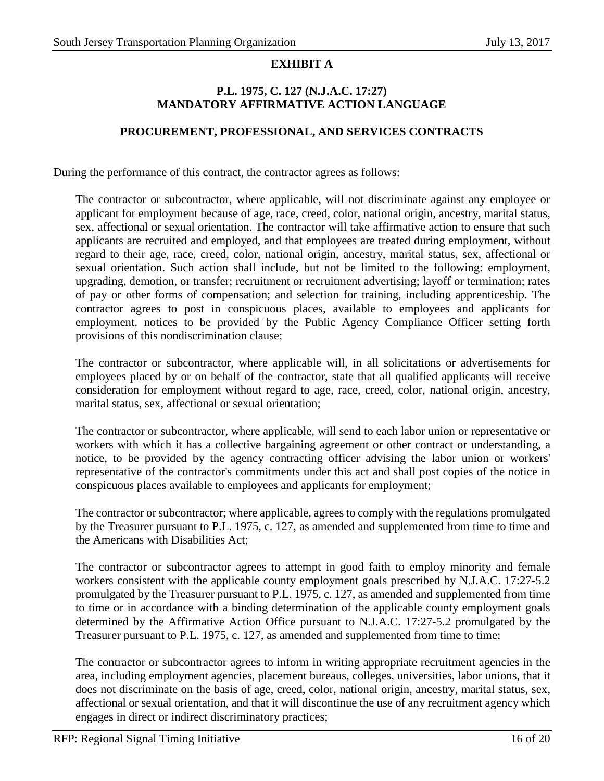# **EXHIBIT A**

#### **P.L. 1975, C. 127 (N.J.A.C. 17:27) MANDATORY AFFIRMATIVE ACTION LANGUAGE**

#### **PROCUREMENT, PROFESSIONAL, AND SERVICES CONTRACTS**

During the performance of this contract, the contractor agrees as follows:

The contractor or subcontractor, where applicable, will not discriminate against any employee or applicant for employment because of age, race, creed, color, national origin, ancestry, marital status, sex, affectional or sexual orientation. The contractor will take affirmative action to ensure that such applicants are recruited and employed, and that employees are treated during employment, without regard to their age, race, creed, color, national origin, ancestry, marital status, sex, affectional or sexual orientation. Such action shall include, but not be limited to the following: employment, upgrading, demotion, or transfer; recruitment or recruitment advertising; layoff or termination; rates of pay or other forms of compensation; and selection for training, including apprenticeship. The contractor agrees to post in conspicuous places, available to employees and applicants for employment, notices to be provided by the Public Agency Compliance Officer setting forth provisions of this nondiscrimination clause;

The contractor or subcontractor, where applicable will, in all solicitations or advertisements for employees placed by or on behalf of the contractor, state that all qualified applicants will receive consideration for employment without regard to age, race, creed, color, national origin, ancestry, marital status, sex, affectional or sexual orientation;

The contractor or subcontractor, where applicable, will send to each labor union or representative or workers with which it has a collective bargaining agreement or other contract or understanding, a notice, to be provided by the agency contracting officer advising the labor union or workers' representative of the contractor's commitments under this act and shall post copies of the notice in conspicuous places available to employees and applicants for employment;

The contractor or subcontractor; where applicable, agrees to comply with the regulations promulgated by the Treasurer pursuant to P.L. 1975, c. 127, as amended and supplemented from time to time and the Americans with Disabilities Act;

The contractor or subcontractor agrees to attempt in good faith to employ minority and female workers consistent with the applicable county employment goals prescribed by N.J.A.C. 17:27-5.2 promulgated by the Treasurer pursuant to P.L. 1975, c. 127, as amended and supplemented from time to time or in accordance with a binding determination of the applicable county employment goals determined by the Affirmative Action Office pursuant to N.J.A.C. 17:27-5.2 promulgated by the Treasurer pursuant to P.L. 1975, c. 127, as amended and supplemented from time to time;

The contractor or subcontractor agrees to inform in writing appropriate recruitment agencies in the area, including employment agencies, placement bureaus, colleges, universities, labor unions, that it does not discriminate on the basis of age, creed, color, national origin, ancestry, marital status, sex, affectional or sexual orientation, and that it will discontinue the use of any recruitment agency which engages in direct or indirect discriminatory practices;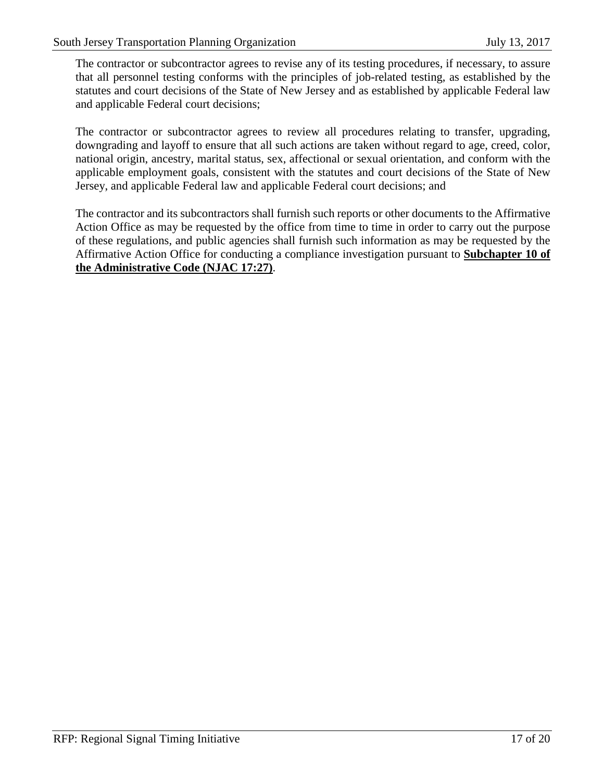The contractor or subcontractor agrees to revise any of its testing procedures, if necessary, to assure that all personnel testing conforms with the principles of job-related testing, as established by the statutes and court decisions of the State of New Jersey and as established by applicable Federal law and applicable Federal court decisions;

The contractor or subcontractor agrees to review all procedures relating to transfer, upgrading, downgrading and layoff to ensure that all such actions are taken without regard to age, creed, color, national origin, ancestry, marital status, sex, affectional or sexual orientation, and conform with the applicable employment goals, consistent with the statutes and court decisions of the State of New Jersey, and applicable Federal law and applicable Federal court decisions; and

The contractor and its subcontractors shall furnish such reports or other documents to the Affirmative Action Office as may be requested by the office from time to time in order to carry out the purpose of these regulations, and public agencies shall furnish such information as may be requested by the Affirmative Action Office for conducting a compliance investigation pursuant to **Subchapter 10 of the Administrative Code (NJAC 17:27)**.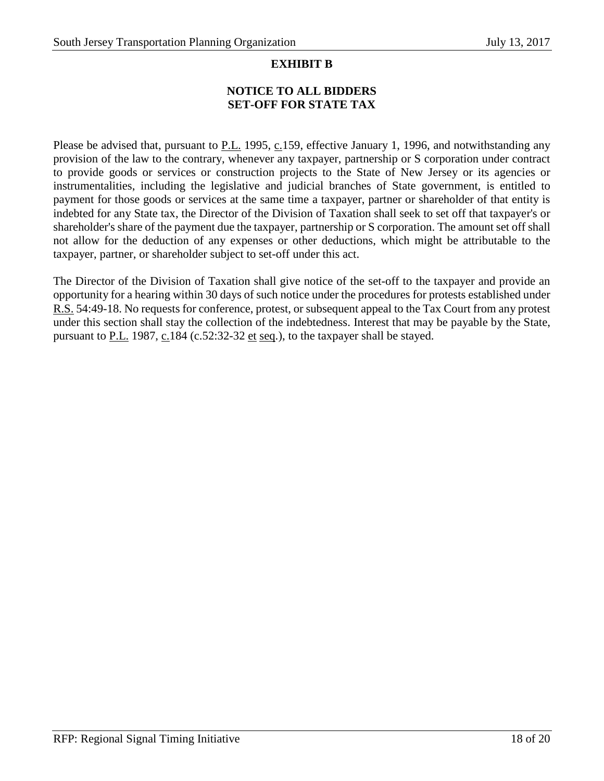#### **EXHIBIT B**

# **NOTICE TO ALL BIDDERS SET-OFF FOR STATE TAX**

Please be advised that, pursuant to P.L. 1995, c.159, effective January 1, 1996, and notwithstanding any provision of the law to the contrary, whenever any taxpayer, partnership or S corporation under contract to provide goods or services or construction projects to the State of New Jersey or its agencies or instrumentalities, including the legislative and judicial branches of State government, is entitled to payment for those goods or services at the same time a taxpayer, partner or shareholder of that entity is indebted for any State tax, the Director of the Division of Taxation shall seek to set off that taxpayer's or shareholder's share of the payment due the taxpayer, partnership or S corporation. The amount set off shall not allow for the deduction of any expenses or other deductions, which might be attributable to the taxpayer, partner, or shareholder subject to set-off under this act.

The Director of the Division of Taxation shall give notice of the set-off to the taxpayer and provide an opportunity for a hearing within 30 days of such notice under the procedures for protests established under R.S. 54:49-18. No requests for conference, protest, or subsequent appeal to the Tax Court from any protest under this section shall stay the collection of the indebtedness. Interest that may be payable by the State, pursuant to P.L. 1987, c.184 (c.52:32-32 et seq.), to the taxpayer shall be stayed.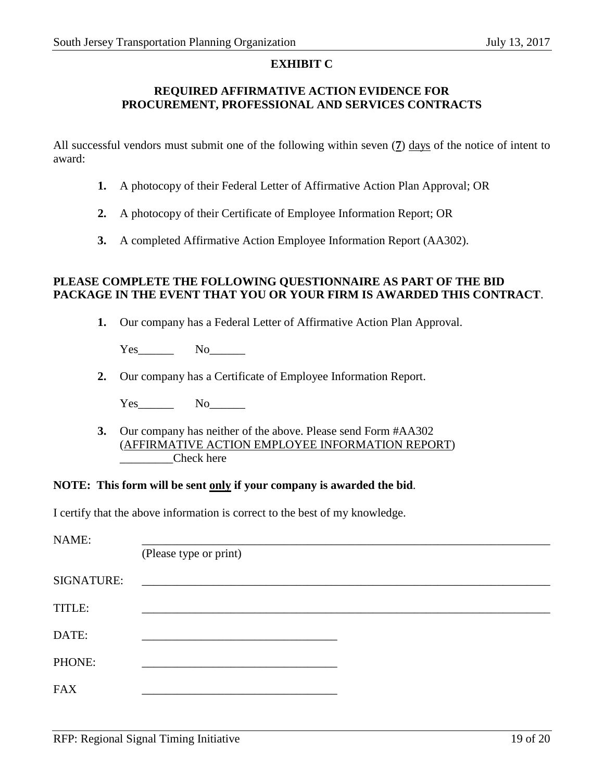#### **EXHIBIT C**

#### **REQUIRED AFFIRMATIVE ACTION EVIDENCE FOR PROCUREMENT, PROFESSIONAL AND SERVICES CONTRACTS**

All successful vendors must submit one of the following within seven (**7**) days of the notice of intent to award:

- **1.** A photocopy of their Federal Letter of Affirmative Action Plan Approval; OR
- **2.** A photocopy of their Certificate of Employee Information Report; OR
- **3.** A completed Affirmative Action Employee Information Report (AA302).

#### **PLEASE COMPLETE THE FOLLOWING QUESTIONNAIRE AS PART OF THE BID PACKAGE IN THE EVENT THAT YOU OR YOUR FIRM IS AWARDED THIS CONTRACT**.

**1.** Our company has a Federal Letter of Affirmative Action Plan Approval.

Yes\_\_\_\_\_\_ No\_\_\_\_\_\_

**2.** Our company has a Certificate of Employee Information Report.

Yes No

**3.** Our company has neither of the above. Please send Form #AA302 (AFFIRMATIVE ACTION EMPLOYEE INFORMATION REPORT) Check here

#### **NOTE: This form will be sent only if your company is awarded the bid**.

I certify that the above information is correct to the best of my knowledge.

| NAME:             |                        |
|-------------------|------------------------|
|                   | (Please type or print) |
| <b>SIGNATURE:</b> |                        |
| TITLE:            |                        |
| DATE:             |                        |
| PHONE:            |                        |
| <b>FAX</b>        |                        |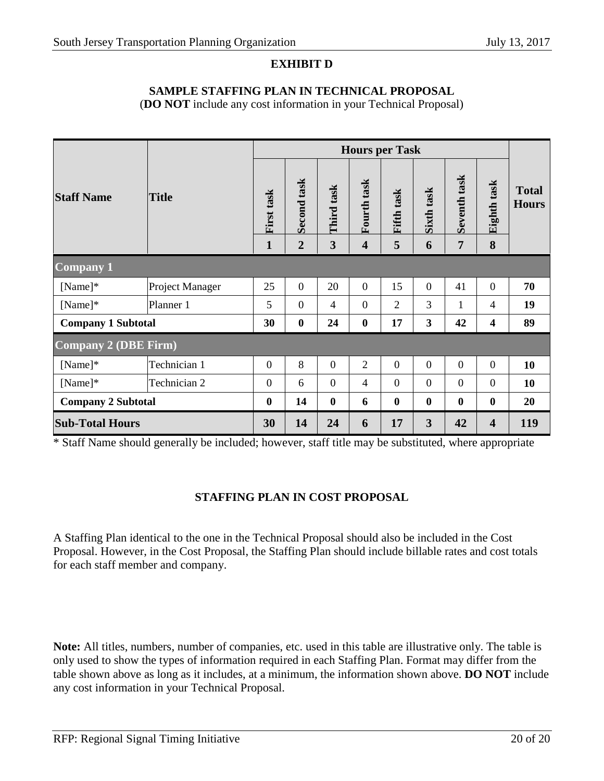# **EXHIBIT D**

#### **SAMPLE STAFFING PLAN IN TECHNICAL PROPOSAL**

(**DO NOT** include any cost information in your Technical Proposal)

|                             |                 | <b>Hours per Task</b>      |                               |                  |                                        |                 |                 |                   |                         |                              |
|-----------------------------|-----------------|----------------------------|-------------------------------|------------------|----------------------------------------|-----------------|-----------------|-------------------|-------------------------|------------------------------|
| <b>Staff Name</b>           | <b>Title</b>    | First task<br>$\mathbf{1}$ | Second task<br>$\overline{2}$ | Third task<br>3  | Fourth task<br>$\overline{\mathbf{4}}$ | Fifth task<br>5 | Sixth task<br>6 | Seventh task<br>7 | Eighth task<br>8        | <b>Total</b><br><b>Hours</b> |
| <b>Company 1</b>            |                 |                            |                               |                  |                                        |                 |                 |                   |                         |                              |
| [Name]                      | Project Manager | 25                         | $\overline{0}$                | 20               | $\Omega$                               | 15              | $\Omega$        | 41                | $\theta$                | 70                           |
| [Name]                      | Planner 1       | 5                          | $\overline{0}$                | $\overline{4}$   | $\overline{0}$                         | $\overline{2}$  | 3               | $\mathbf{1}$      | 4                       | 19                           |
| <b>Company 1 Subtotal</b>   |                 | 30                         | $\boldsymbol{0}$              | 24               | $\bf{0}$                               | 17              | 3               | 42                | $\overline{\mathbf{4}}$ | 89                           |
| <b>Company 2 (DBE Firm)</b> |                 |                            |                               |                  |                                        |                 |                 |                   |                         |                              |
| $[Name]$ *                  | Technician 1    | $\overline{0}$             | 8                             | $\overline{0}$   | $\overline{2}$                         | $\overline{0}$  | $\overline{0}$  | $\overline{0}$    | $\overline{0}$          | 10                           |
| [Name]                      | Technician 2    | $\boldsymbol{0}$           | 6                             | $\overline{0}$   | $\overline{4}$                         | $\theta$        | $\overline{0}$  | $\overline{0}$    | $\overline{0}$          | 10                           |
| <b>Company 2 Subtotal</b>   |                 | $\boldsymbol{0}$           | 14                            | $\boldsymbol{0}$ | 6                                      | $\bf{0}$        | $\bf{0}$        | $\boldsymbol{0}$  | $\bf{0}$                | 20                           |
| <b>Sub-Total Hours</b>      |                 | 30                         | 14                            | 24               | 6                                      | 17              | 3               | 42                | 4                       | 119                          |

\* Staff Name should generally be included; however, staff title may be substituted, where appropriate

# **STAFFING PLAN IN COST PROPOSAL**

A Staffing Plan identical to the one in the Technical Proposal should also be included in the Cost Proposal. However, in the Cost Proposal, the Staffing Plan should include billable rates and cost totals for each staff member and company.

**Note:** All titles, numbers, number of companies, etc. used in this table are illustrative only. The table is only used to show the types of information required in each Staffing Plan. Format may differ from the table shown above as long as it includes, at a minimum, the information shown above. **DO NOT** include any cost information in your Technical Proposal.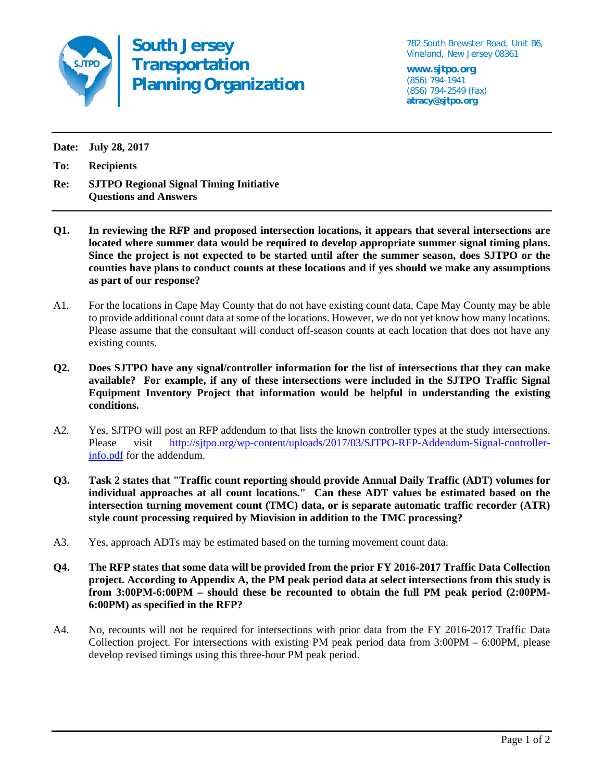

**South Jersey Transportation Planning Organization** 782 South Brewster Road, Unit B6, Vineland, New Jersey 08361

**www.sjtpo.org**  (856) 794-1941 (856) 794-2549 (fax) **atracy@sjtpo.org** 

**Date: July 28, 2017** 

**To: Recipients** 

**Re: SJTPO Regional Signal Timing Initiative Questions and Answers** 

- **Q1. In reviewing the RFP and proposed intersection locations, it appears that several intersections are located where summer data would be required to develop appropriate summer signal timing plans. Since the project is not expected to be started until after the summer season, does SJTPO or the counties have plans to conduct counts at these locations and if yes should we make any assumptions as part of our response?**
- A1. For the locations in Cape May County that do not have existing count data, Cape May County may be able to provide additional count data at some of the locations. However, we do not yet know how many locations. Please assume that the consultant will conduct off-season counts at each location that does not have any existing counts.
- **Q2. Does SJTPO have any signal/controller information for the list of intersections that they can make available? For example, if any of these intersections were included in the SJTPO Traffic Signal Equipment Inventory Project that information would be helpful in understanding the existing conditions.**
- A2. Yes, SJTPO will post an RFP addendum to that lists the known controller types at the study intersections. Please visit http://sjtpo.org/wp-content/uploads/2017/03/SJTPO-RFP-Addendum-Signal-controllerinfo.pdf for the addendum.
- **Q3. Task 2 states that "Traffic count reporting should provide Annual Daily Traffic (ADT) volumes for individual approaches at all count locations." Can these ADT values be estimated based on the intersection turning movement count (TMC) data, or is separate automatic traffic recorder (ATR) style count processing required by Miovision in addition to the TMC processing?**
- A3. Yes, approach ADTs may be estimated based on the turning movement count data.
- **Q4. The RFP states that some data will be provided from the prior FY 2016-2017 Traffic Data Collection project. According to Appendix A, the PM peak period data at select intersections from this study is from 3:00PM-6:00PM – should these be recounted to obtain the full PM peak period (2:00PM-6:00PM) as specified in the RFP?**
- A4. No, recounts will not be required for intersections with prior data from the FY 2016-2017 Traffic Data Collection project. For intersections with existing PM peak period data from 3:00PM – 6:00PM, please develop revised timings using this three-hour PM peak period.